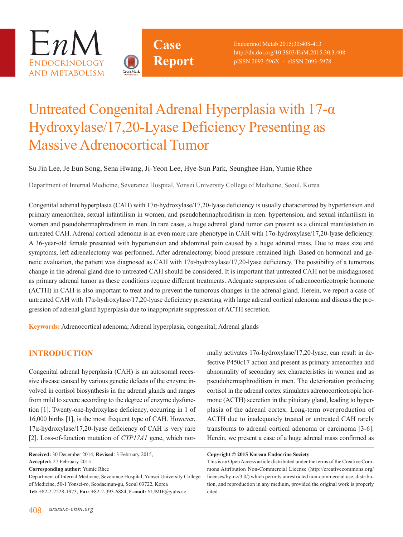



Endocrinol Metab 2015;30:408-413 http://dx.doi.org/10.3803/EnM.2015.30.3.408 pISSN 2093-596X · eISSN 2093-5978

## Untreated Congenital Adrenal Hyperplasia with 17-α Hydroxylase/17,20-Lyase Deficiency Presenting as Massive Adrenocortical Tumor

Su Jin Lee, Je Eun Song, Sena Hwang, Ji-Yeon Lee, Hye-Sun Park, Seunghee Han, Yumie Rhee

**Case**

**Report**

Department of Internal Medicine, Severance Hospital, Yonsei University College of Medicine, Seoul, Korea

Congenital adrenal hyperplasia (CAH) with  $17\alpha$ -hydroxylase/17,20-lyase deficiency is usually characterized by hypertension and primary amenorrhea, sexual infantilism in women, and pseudohermaphroditism in men. hypertension, and sexual infantilism in women and pseudohermaphroditism in men. In rare cases, a huge adrenal gland tumor can present as a clinical manifestation in untreated CAH. Adrenal cortical adenoma is an even more rare phenotype in CAH with  $17\alpha$ -hydroxylase/17,20-lyase deficiency. A 36-year-old female presented with hypertension and abdominal pain caused by a huge adrenal mass. Due to mass size and symptoms, left adrenalectomy was performed. After adrenalectomy, blood pressure remained high. Based on hormonal and genetic evaluation, the patient was diagnosed as CAH with 17α-hydroxylase/17,20-lyase deficiency. The possibility of a tumorous change in the adrenal gland due to untreated CAH should be considered. It is important that untreated CAH not be misdiagnosed as primary adrenal tumor as these conditions require different treatments. Adequate suppression of adrenocorticotropic hormone (ACTH) in CAH is also important to treat and to prevent the tumorous changes in the adrenal gland. Herein, we report a case of untreated CAH with 17α-hydroxylase/17,20-lyase deficiency presenting with large adrenal cortical adenoma and discuss the progression of adrenal gland hyperplasia due to inappropriate suppression of ACTH secretion.

**Keywords:** Adrenocortical adenoma; Adrenal hyperplasia, congenital; Adrenal glands

## **INTRODUCTION**

Congenital adrenal hyperplasia (CAH) is an autosomal recessive disease caused by various genetic defects of the enzyme involved in cortisol biosynthesis in the adrenal glands and ranges from mild to severe according to the degree of enzyme dysfunction [1]. Twenty-one-hydroxylase deficiency, occurring in 1 of 16,000 births [1], is the most frequent type of CAH. However, 17α-hydroxylase/17,20-lyase deficiency of CAH is very rare [2]. Loss-of-function mutation of *CYP17A1* gene, which nor-

**Received:** 30 December 2014, **Revised**: 3 February 2015, **Accepted:** 27 February 2015 **Corresponding author:** Yumie Rhee Department of Internal Medicine, Severance Hospital, Yonsei University College of Medicine, 50-1 Yonsei-ro, Seodaemun-gu, Seoul 03722, Korea **Tel:** +82-2-2228-1973, **Fax:** +82-2-393-6884, **E-mail:** YUMIE@yuhs.ac

mally activates 17α-hydroxylase/17,20-lyase, can result in defective P450c17 action and present as primary amenorrhea and abnormality of secondary sex characteristics in women and as pseudohermaphroditism in men. The deterioration producing cortisol in the adrenal cortex stimulates adrenocorticotropic hormone (ACTH) secretion in the pituitary gland, leading to hyperplasia of the adrenal cortex. Long-term overproduction of ACTH due to inadequately treated or untreated CAH rarely transforms to adrenal cortical adenoma or carcinoma [3-6]. Herein, we present a case of a huge adrenal mass confirmed as

#### **Copyright © 2015 Korean Endocrine Society**

This is an Open Access article distributed under the terms of the Creative Commons Attribution Non-Commercial License (http://creativecommons.org/ licenses/by-nc/3.0/) which permits unrestricted non-commercial use, distribution, and reproduction in any medium, provided the original work is properly cited.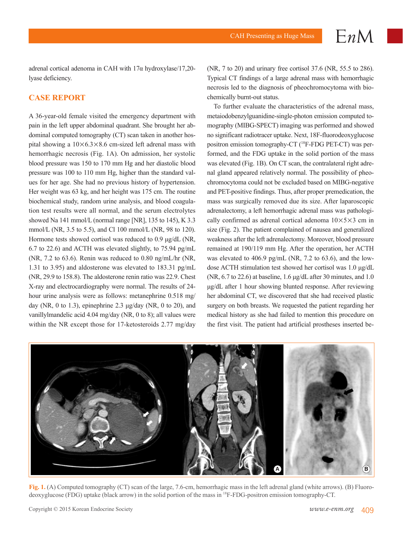adrenal cortical adenoma in CAH with 17α hydroxylase/17,20 lyase deficiency.

## **CASE REPORT**

A 36-year-old female visited the emergency department with pain in the left upper abdominal quadrant. She brought her abdominal computed tomography (CT) scan taken in another hospital showing a  $10\times6.3\times8.6$  cm-sized left adrenal mass with hemorrhagic necrosis (Fig. 1A). On admission, her systolic blood pressure was 150 to 170 mm Hg and her diastolic blood pressure was 100 to 110 mm Hg, higher than the standard values for her age. She had no previous history of hypertension. Her weight was 63 kg, and her height was 175 cm. The routine biochemical study, random urine analysis, and blood coagulation test results were all normal, and the serum electrolytes showed Na 141 mmol/L (normal range [NR], 135 to 145), K 3.3 mmol/L (NR, 3.5 to 5.5), and Cl 100 mmol/L (NR, 98 to 120). Hormone tests showed cortisol was reduced to 0.9 μg/dL (NR, 6.7 to 22.6) and ACTH was elevated slightly, to 75.94 pg/mL (NR, 7.2 to 63.6). Renin was reduced to 0.80 ng/mL/hr (NR, 1.31 to 3.95) and aldosterone was elevated to 183.31 pg/mL (NR, 29.9 to 158.8). The aldosterone renin ratio was 22.9. Chest X-ray and electrocardiography were normal. The results of 24 hour urine analysis were as follows: metanephrine 0.518 mg/ day (NR, 0 to 1.3), epinephrine 2.3  $\mu$ g/day (NR, 0 to 20), and vanillylmandelic acid 4.04 mg/day (NR, 0 to 8); all values were within the NR except those for 17-ketosteroids 2.77 mg/day (NR, 7 to 20) and urinary free cortisol 37.6 (NR, 55.5 to 286). Typical CT findings of a large adrenal mass with hemorrhagic necrosis led to the diagnosis of pheochromocytoma with biochemically burnt-out status.

To further evaluate the characteristics of the adrenal mass, metaiodobenzylguanidine-single-photon emission computed tomography (MIBG-SPECT) imaging was performed and showed no significant radiotracer uptake. Next, 18F-fluorodeoxyglucose positron emission tomography-CT (18F-FDG PET-CT) was performed, and the FDG uptake in the solid portion of the mass was elevated (Fig. 1B). On CT scan, the contralateral right adrenal gland appeared relatively normal. The possibility of pheochromocytoma could not be excluded based on MIBG-negative and PET-positive findings. Thus, after proper premedication, the mass was surgically removed due its size. After laparoscopic adrenalectomy, a left hemorrhagic adrenal mass was pathologically confirmed as adrenal cortical adenoma  $10\times5\times3$  cm in size (Fig. 2). The patient complained of nausea and generalized weakness after the left adrenalectomy. Moreover, blood pressure remained at 190/119 mm Hg. After the operation, her ACTH was elevated to 406.9 pg/mL (NR, 7.2 to 63.6), and the lowdose ACTH stimulation test showed her cortisol was 1.0 μg/dL (NR, 6.7 to 22.6) at baseline, 1.6 μg/dL after 30 minutes, and 1.0 μg/dL after 1 hour showing blunted response. After reviewing her abdominal CT, we discovered that she had received plastic surgery on both breasts. We requested the patient regarding her medical history as she had failed to mention this procedure on the first visit. The patient had artificial prostheses inserted be-



Fig. 1. (A) Computed tomography (CT) scan of the large, 7.6-cm, hemorrhagic mass in the left adrenal gland (white arrows). (B) Fluorodeoxyglucose (FDG) uptake (black arrow) in the solid portion of the mass in 18F-FDG-positron emission tomography-CT.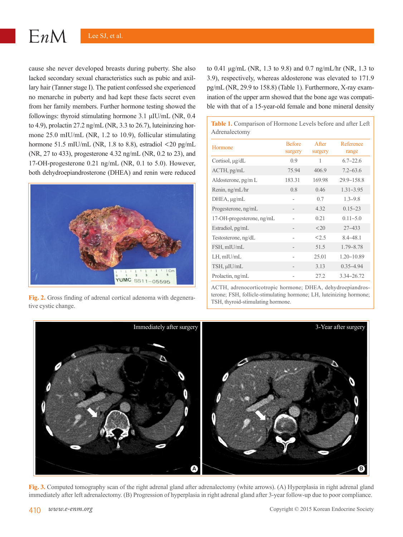## Lee SJ, et al.

 $EnM$ 

cause she never developed breasts during puberty. She also lacked secondary sexual characteristics such as pubic and axillary hair (Tanner stage I). The patient confessed she experienced no menarche in puberty and had kept these facts secret even from her family members. Further hormone testing showed the followings: thyroid stimulating hormone 3.1 μIU/mL (NR, 0.4 to 4.9), prolactin 27.2 ng/mL (NR, 3.3 to 26.7), luteininzing hormone 25.0 mIU/mL (NR, 1.2 to 10.9), follicular stimulating hormone 51.5 mIU/mL (NR, 1.8 to 8.8), estradiol <20 pg/mL (NR, 27 to 433), progesterone 4.32 ng/mL (NR, 0.2 to 23), and 17-OH-progesterone 0.21 ng/mL (NR, 0.1 to 5.0). However, both dehydroepiandrosterone (DHEA) and renin were reduced



**Fig. 2.** Gross finding of adrenal cortical adenoma with degenerative cystic change.

to 0.41 μg/mL (NR, 1.3 to 9.8) and 0.7 ng/mL/hr (NR, 1.3 to 3.9), respectively, whereas aldosterone was elevated to 171.9 pg/mL (NR, 29.9 to 158.8) (Table 1). Furthermore, X-ray examination of the upper arm showed that the bone age was compatible with that of a 15-year-old female and bone mineral density

| Hormone                   | <b>Before</b><br>surgery | After<br>surgery | Reference<br>range |
|---------------------------|--------------------------|------------------|--------------------|
| Cortisol, µg/dL           | 0.9                      | 1                | $6.7 - 22.6$       |
| $ACTH$ , $pg/mL$          | 75.94                    | 406.9            | $7.2 - 63.6$       |
| Aldosterone, pg/m L       | 183.31                   | 169.98           | $29.9 - 158.8$     |
| Renin, ng/mL/hr           | 0.8                      | 0.46             | $1.31 - 3.95$      |
| DHEA, µg/mL               |                          | 0.7              | $1.3 - 9.8$        |
| Progesterone, ng/mL       |                          | 4.32             | $0.15 - 23$        |
| 17-OH-progesterone, ng/mL |                          | 0.21             | $0.11 - 5.0$       |
| Estradiol, pg/mL          |                          | <20              | $27 - 433$         |
| Testosterone, ng/dL       |                          | < 2.5            | $8.4 - 48.1$       |
| FSH, mIU/mL               |                          | 51.5             | $1.79 - 8.78$      |
| LH, mIU/mL                |                          | 25.01            | $1.20 - 10.89$     |
| TSH, µIU/mL               |                          | 3.13             | $0.35 - 4.94$      |
| Prolactin, ng/mL          |                          | 27.2             | 3.34-26.72         |

ACTH, adrenocorticotropic hormone; DHEA, dehydroepiandrosterone; FSH, follicle-stimulating hormone; LH, luteinizing hormone; TSH, thyroid-stimulating hormone.



**Fig. 3.** Computed tomography scan of the right adrenal gland after adrenalectomy (white arrows). (A) Hyperplasia in right adrenal gland immediately after left adrenalectomy. (B) Progression of hyperplasia in right adrenal gland after 3-year follow-up due to poor compliance.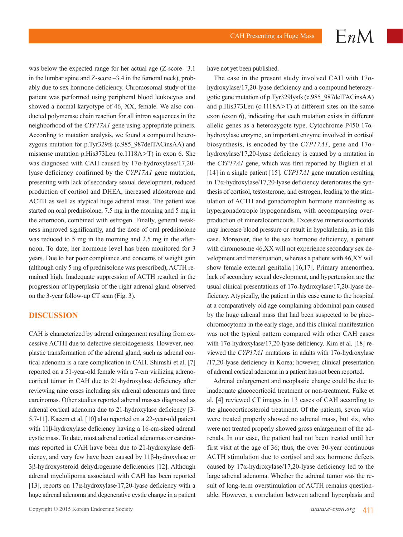# $EnM$

was below the expected range for her actual age (Z-score –3.1 in the lumbar spine and Z-score –3.4 in the femoral neck), probably due to sex hormone deficiency. Chromosomal study of the patient was performed using peripheral blood leukocytes and showed a normal karyotype of 46, XX, female. We also conducted polymerase chain reaction for all intron sequences in the neighborhood of the *CYP17A1* gene using appropriate primers. According to mutation analysis, we found a compound heterozygous mutation for p.Tyr329fs (c.985\_987delTACinsAA) and missense mutation p.His373Leu (c.1118A>T) in exon 6. She was diagnosed with CAH caused by 17α-hydroxylase/17,20 lyase deficiency confirmed by the *CYP17A1* gene mutation, presenting with lack of secondary sexual development, reduced production of cortisol and DHEA, increased aldosterone and ACTH as well as atypical huge adrenal mass. The patient was started on oral prednisolone, 7.5 mg in the morning and 5 mg in the afternoon, combined with estrogen. Finally, general weakness improved significantly, and the dose of oral prednisolone was reduced to 5 mg in the morning and 2.5 mg in the afternoon. To date, her hormone level has been monitored for 3 years. Due to her poor compliance and concerns of weight gain (although only 5 mg of prednisolone was prescribed), ACTH remained high. Inadequate suppression of ACTH resulted in the progression of hyperplasia of the right adrenal gland observed on the 3-year follow-up CT scan (Fig. 3).

### **DISCUSSION**

CAH is characterized by adrenal enlargement resulting from excessive ACTH due to defective steroidogenesis. However, neoplastic transformation of the adrenal gland, such as adrenal cortical adenoma is a rare complication in CAH. Shimshi et al. [7] reported on a 51-year-old female with a 7-cm virilizing adrenocortical tumor in CAH due to 21-hydroxylase deficiency after reviewing nine cases including six adrenal adenomas and three carcinomas. Other studies reported adrenal masses diagnosed as adrenal cortical adenoma due to 21-hydroxylase deficiency [3- 5,7-11]. Kacem et al. [10] also reported on a 22-year-old patient with 11β-hydroxylase deficiency having a 16-cm-sized adrenal cystic mass. To date, most adrenal cortical adenomas or carcinomas reported in CAH have been due to 21-hydroxylase deficiency, and very few have been caused by 11β-hydroxylase or 3β-hydroxysteroid dehydrogenase deficiencies [12]. Although adrenal myelolipoma associated with CAH has been reported [13], reports on  $17\alpha$ -hydroxylase/17,20-lyase deficiency with a huge adrenal adenoma and degenerative cystic change in a patient have not yet been published.

The case in the present study involved CAH with  $17\alpha$ hydroxylase/17,20-lyase deficiency and a compound heterozygotic gene mutation of p.Tyr329lysfs (c.985\_987delTACinsAA) and p.His373Leu (c.1118A>T) at different sites on the same exon (exon 6), indicating that each mutation exists in different allelic genes as a heterozygote type. Cytochrome P450 17αhydroxylase enzyme, an important enzyme involved in cortisol biosynthesis, is encoded by the *CYP17A1*, gene and 17αhydroxylase/17,20-lyase deficiency is caused by a mutation in the *CYP17A1* gene, which was first reported by Biglieri et al. [14] in a single patient [15]. *CYP17A1* gene mutation resulting in 17α-hydroxylase/17,20-lyase deficiency deteriorates the synthesis of cortisol, testosterone, and estrogen, leading to the stimulation of ACTH and gonadotrophin hormone manifesting as hypergonadotropic hypogonadism, with accompanying overproduction of mineralocorticoids. Excessive mineralocorticoids may increase blood pressure or result in hypokalemia, as in this case. Moreover, due to the sex hormone deficiency, a patient with chromosome  $46, XX$  will not experience secondary sex development and menstruation, whereas a patient with 46,XY will show female external genitalia [16,17]. Primary amenorrhea, lack of secondary sexual development, and hypertension are the usual clinical presentations of 17α-hydroxylase/17,20-lyase deficiency. Atypically, the patient in this case came to the hospital at a comparatively old age complaining abdominal pain caused by the huge adrenal mass that had been suspected to be pheochromocytoma in the early stage, and this clinical manifestation was not the typical pattern compared with other CAH cases with 17α-hydroxylase/17,20-lyase deficiency. Kim et al. [18] reviewed the *CYP17A1* mutations in adults with 17α-hydroxylase /17,20-lyase deficiency in Korea; however, clinical presentation of adrenal cortical adenoma in a patient has not been reported.

Adrenal enlargement and neoplastic change could be due to inadequate glucocorticoid treatment or non-treatment. Falke et al. [4] reviewed CT images in 13 cases of CAH according to the glucocorticosteroid treatment. Of the patients, seven who were treated properly showed no adrenal mass, but six, who were not treated properly showed gross enlargement of the adrenals. In our case, the patient had not been treated until her first visit at the age of 36; thus, the over 30-year continuous ACTH stimulation due to cortisol and sex hormone defects caused by 17α-hydroxylase/17,20-lyase deficiency led to the large adrenal adenoma. Whether the adrenal tumor was the result of long-term overstimulation of ACTH remains questionable. However, a correlation between adrenal hyperplasia and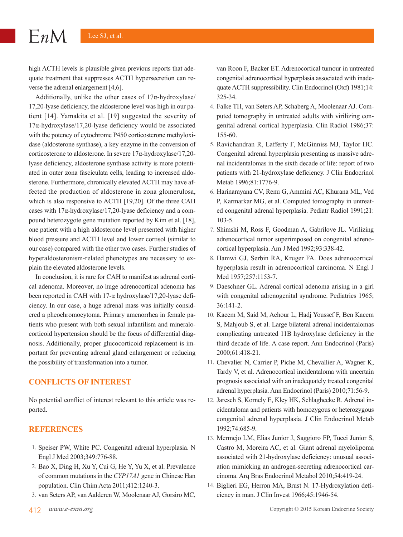high ACTH levels is plausible given previous reports that adequate treatment that suppresses ACTH hypersecretion can reverse the adrenal enlargement [4,6].

Additionally, unlike the other cases of  $17\alpha$ -hydroxylase/ 17,20-lyase deficiency, the aldosterone level was high in our patient [14]. Yamakita et al. [19] suggested the severity of 17α-hydroxylase/17,20-lyase deficiency would be associated with the potency of cytochrome P450 corticosterone methyloxidase (aldosterone synthase), a key enzyme in the conversion of corticosterone to aldosterone. In severe 17α-hydroxylase/17,20 lyase deficiency, aldosterone synthase activity is more potentiated in outer zona fasciculata cells, leading to increased aldosterone. Furthermore, chronically elevated ACTH may have affected the production of aldosterone in zona glomerulosa, which is also responsive to ACTH [19,20]. Of the three CAH cases with 17α-hydroxylase/17,20-lyase deficiency and a compound heterozygote gene mutation reported by Kim et al. [18], one patient with a high aldosterone level presented with higher blood pressure and ACTH level and lower cortisol (similar to our case) compared with the other two cases. Further studies of hyperaldosteronism-related phenotypes are necessary to explain the elevated aldosterone levels.

In conclusion, it is rare for CAH to manifest as adrenal cortical adenoma. Moreover, no huge adrenocortical adenoma has been reported in CAH with 17-α hydroxylase/17,20-lyase deficiency. In our case, a huge adrenal mass was initially considered a pheochromocytoma. Primary amenorrhea in female patients who present with both sexual infantilism and mineralocorticoid hypertension should be the focus of differential diagnosis. Additionally, proper glucocorticoid replacement is important for preventing adrenal gland enlargement or reducing the possibility of transformation into a tumor.

## **CONFLICTS OF INTEREST**

No potential conflict of interest relevant to this article was reported.

### **REFERENCES**

- 1. Speiser PW, White PC. Congenital adrenal hyperplasia. N Engl J Med 2003;349:776-88.
- 2. Bao X, Ding H, Xu Y, Cui G, He Y, Yu X, et al. Prevalence of common mutations in the *CYP17A1* gene in Chinese Han population. Clin Chim Acta 2011;412:1240-3.
- 3. van Seters AP, van Aalderen W, Moolenaar AJ, Gorsiro MC,

van Roon F, Backer ET. Adrenocortical tumour in untreated congenital adrenocortical hyperplasia associated with inadequate ACTH suppressibility. Clin Endocrinol (Oxf) 1981;14: 325-34.

- 4. Falke TH, van Seters AP, Schaberg A, Moolenaar AJ. Computed tomography in untreated adults with virilizing congenital adrenal cortical hyperplasia. Clin Radiol 1986;37: 155-60.
- 5. Ravichandran R, Lafferty F, McGinniss MJ, Taylor HC. Congenital adrenal hyperplasia presenting as massive adrenal incidentalomas in the sixth decade of life: report of two patients with 21-hydroxylase deficiency. J Clin Endocrinol Metab 1996;81:1776-9.
- 6. Harinarayana CV, Renu G, Ammini AC, Khurana ML, Ved P, Karmarkar MG, et al. Computed tomography in untreated congenital adrenal hyperplasia. Pediatr Radiol 1991;21: 103-5.
- 7. Shimshi M, Ross F, Goodman A, Gabrilove JL. Virilizing adrenocortical tumor superimposed on congenital adrenocortical hyperplasia. Am J Med 1992;93:338-42.
- 8. Hamwi GJ, Serbin RA, Kruger FA. Does adrenocortical hyperplasia result in adrenocortical carcinoma. N Engl J Med 1957;257:1153-7.
- 9. Daeschner GL. Adrenal cortical adenoma arising in a girl with congenital adrenogenital syndrome. Pediatrics 1965; 36:141-2.
- 10. Kacem M, Said M, Achour L, Hadj Youssef F, Ben Kacem S, Mahjoub S, et al. Large bilateral adrenal incidentalomas complicating untreated 11B hydroxylase deficiency in the third decade of life. A case report. Ann Endocrinol (Paris) 2000;61:418-21.
- 11. Chevalier N, Carrier P, Piche M, Chevallier A, Wagner K, Tardy V, et al. Adrenocortical incidentaloma with uncertain prognosis associated with an inadequately treated congenital adrenal hyperplasia. Ann Endocrinol (Paris) 2010;71:56-9.
- 12. Jaresch S, Kornely E, Kley HK, Schlaghecke R. Adrenal incidentaloma and patients with homozygous or heterozygous congenital adrenal hyperplasia. J Clin Endocrinol Metab 1992;74:685-9.
- 13. Mermejo LM, Elias Junior J, Saggioro FP, Tucci Junior S, Castro M, Moreira AC, et al. Giant adrenal myelolipoma associated with 21-hydroxylase deficiency: unusual association mimicking an androgen-secreting adrenocortical carcinoma. Arq Bras Endocrinol Metabol 2010;54:419-24.
- 14. Biglieri EG, Herron MA, Brust N. 17-Hydroxylation deficiency in man. J Clin Invest 1966;45:1946-54.